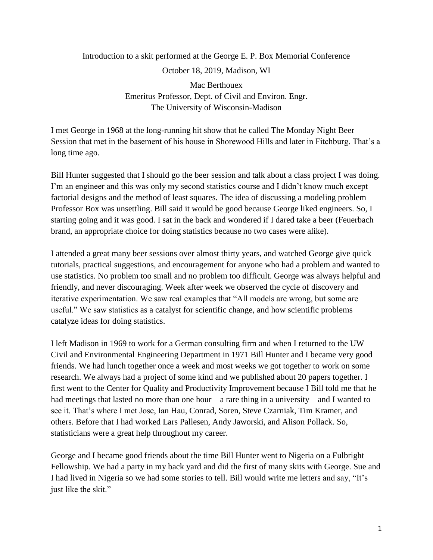# Introduction to a skit performed at the George E. P. Box Memorial Conference October 18, 2019, Madison, WI

Mac Berthouex Emeritus Professor, Dept. of Civil and Environ. Engr. The University of Wisconsin-Madison

I met George in 1968 at the long-running hit show that he called The Monday Night Beer Session that met in the basement of his house in Shorewood Hills and later in Fitchburg. That's a long time ago.

Bill Hunter suggested that I should go the beer session and talk about a class project I was doing. I'm an engineer and this was only my second statistics course and I didn't know much except factorial designs and the method of least squares. The idea of discussing a modeling problem Professor Box was unsettling. Bill said it would be good because George liked engineers. So, I starting going and it was good. I sat in the back and wondered if I dared take a beer (Feuerbach brand, an appropriate choice for doing statistics because no two cases were alike).

I attended a great many beer sessions over almost thirty years, and watched George give quick tutorials, practical suggestions, and encouragement for anyone who had a problem and wanted to use statistics. No problem too small and no problem too difficult. George was always helpful and friendly, and never discouraging. Week after week we observed the cycle of discovery and iterative experimentation. We saw real examples that "All models are wrong, but some are useful." We saw statistics as a catalyst for scientific change, and how scientific problems catalyze ideas for doing statistics.

I left Madison in 1969 to work for a German consulting firm and when I returned to the UW Civil and Environmental Engineering Department in 1971 Bill Hunter and I became very good friends. We had lunch together once a week and most weeks we got together to work on some research. We always had a project of some kind and we published about 20 papers together. I first went to the Center for Quality and Productivity Improvement because I Bill told me that he had meetings that lasted no more than one hour – a rare thing in a university – and I wanted to see it. That's where I met Jose, Ian Hau, Conrad, Soren, Steve Czarniak, Tim Kramer, and others. Before that I had worked Lars Pallesen, Andy Jaworski, and Alison Pollack. So, statisticians were a great help throughout my career.

George and I became good friends about the time Bill Hunter went to Nigeria on a Fulbright Fellowship. We had a party in my back yard and did the first of many skits with George. Sue and I had lived in Nigeria so we had some stories to tell. Bill would write me letters and say, "It's just like the skit."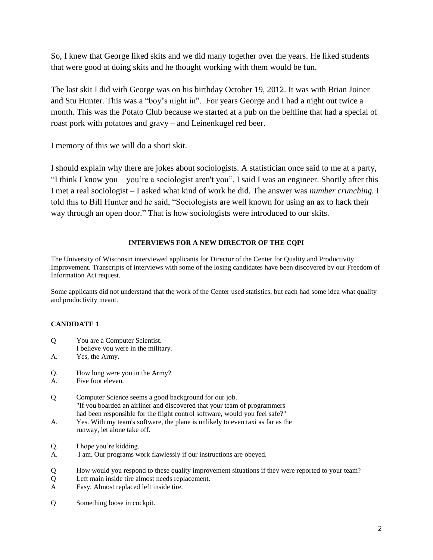So, I knew that George liked skits and we did many together over the years. He liked students that were good at doing skits and he thought working with them would be fun.

The last skit I did with George was on his birthday October 19, 2012. It was with Brian Joiner and Stu Hunter. This was a "boy's night in". For years George and I had a night out twice a month. This was the Potato Club because we started at a pub on the beltline that had a special of roast pork with potatoes and gravy – and Leinenkugel red beer.

I memory of this we will do a short skit.

I should explain why there are jokes about sociologists. A statistician once said to me at a party, "I think I know you – you're a sociologist aren't you". I said I was an engineer. Shortly after this I met a real sociologist – I asked what kind of work he did. The answer was *number crunching.* I told this to Bill Hunter and he said, "Sociologists are well known for using an ax to hack their way through an open door." That is how sociologists were introduced to our skits.

## **INTERVIEWS FOR A NEW DIRECTOR OF THE CQPI**

The University of Wisconsin interviewed applicants for Director of the Center for Quality and Productivity Improvement. Transcripts of interviews with some of the losing candidates have been discovered by our Freedom of Information Act request.

Some applicants did not understand that the work of the Center used statistics, but each had some idea what quality and productivity meant.

## **CANDIDATE 1**

- Q You are a Computer Scientist.
- I believe you were in the military.
- A. Yes, the Army.
- Q. How long were you in the Army?
- A. Five foot eleven.
- Q Computer Science seems a good background for our job. "If you boarded an airliner and discovered that your team of programmers had been responsible for the flight control software, would you feel safe?"
- A. Yes. With my team's software, the plane is unlikely to even taxi as far as the runway, let alone take off.
- Q. I hope you're kidding.
- A. I am. Our programs work flawlessly if our instructions are obeyed.
- Q How would you respond to these quality improvement situations if they were reported to your team?
- Q Left main inside tire almost needs replacement.
- A Easy. Almost replaced left inside tire.
- Q Something loose in cockpit.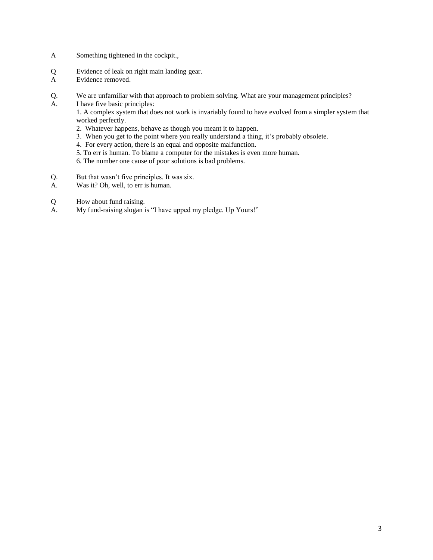- A Something tightened in the cockpit.,
- Q Evidence of leak on right main landing gear.
- A Evidence removed.
- Q. We are unfamiliar with that approach to problem solving. What are your management principles?
- A. I have five basic principles:

1. A complex system that does not work is invariably found to have evolved from a simpler system that worked perfectly.

- 2. Whatever happens, behave as though you meant it to happen.
- 3. When you get to the point where you really understand a thing, it's probably obsolete.
- 4. For every action, there is an equal and opposite malfunction.
- 5. To err is human. To blame a computer for the mistakes is even more human.
- 6. The number one cause of poor solutions is bad problems.
- Q. But that wasn't five principles. It was six.
- A. Was it? Oh, well, to err is human.
- Q How about fund raising.<br>A. My fund-raising slogan i
- My fund-raising slogan is "I have upped my pledge. Up Yours!"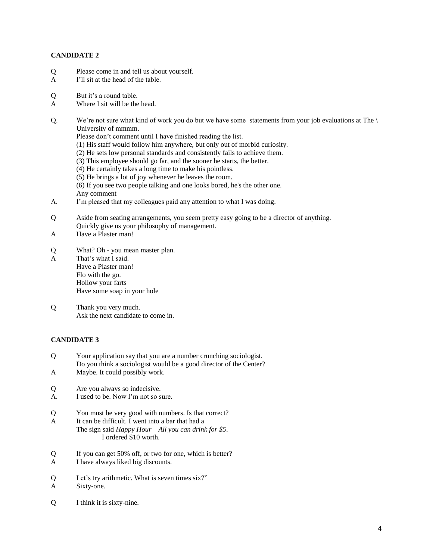### **CANDIDATE 2**

- Q Please come in and tell us about yourself.
- A I'll sit at the head of the table.
- Q But it's a round table.
- A Where I sit will be the head.
- Q. We're not sure what kind of work you do but we have some statements from your job evaluations at The \ University of mmmm.
	- Please don't comment until I have finished reading the list.
	- (1) His staff would follow him anywhere, but only out of morbid curiosity.
	- (2) He sets low personal standards and consistently fails to achieve them.
	- (3) This employee should go far, and the sooner he starts, the better.
	- (4) He certainly takes a long time to make his pointless.
	- (5) He brings a lot of joy whenever he leaves the room.

(6) If you see two people talking and one looks bored, he's the other one. Any comment

- A. I'm pleased that my colleagues paid any attention to what I was doing.
- Q Aside from seating arrangements, you seem pretty easy going to be a director of anything. Quickly give us your philosophy of management.
- A Have a Plaster man!
- Q What? Oh you mean master plan.
- A That's what I said. Have a Plaster man! Flo with the go. Hollow your farts Have some soap in your hole
- Q Thank you very much. Ask the next candidate to come in.

#### **CANDIDATE 3**

- Q Your application say that you are a number crunching sociologist. Do you think a sociologist would be a good director of the Center?
- A Maybe. It could possibly work.
- Q Are you always so indecisive.
- A. I used to be. Now I'm not so sure.
- Q You must be very good with numbers. Is that correct?
- A It can be difficult. I went into a bar that had a The sign said *Happy Hour – All you can drink for \$5*. I ordered \$10 worth.
- Q If you can get 50% off, or two for one, which is better?
- A I have always liked big discounts.
- Q Let's try arithmetic. What is seven times six?"
- A Sixty-one.
- Q I think it is sixty-nine.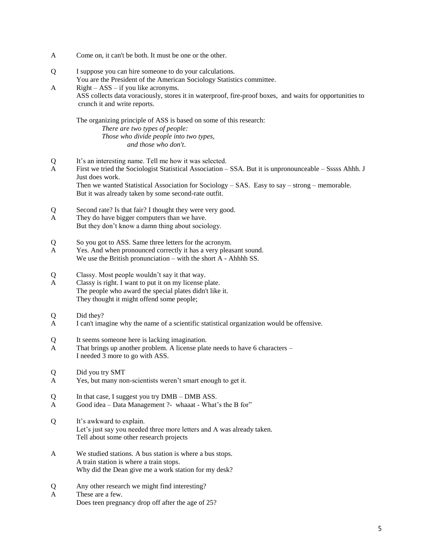A Come on, it can't be both. It must be one or the other.

crunch it and write reports.

Q I suppose you can hire someone to do your calculations. You are the President of the American Sociology Statistics committee. A Right – ASS – if you like acronyms. ASS collects data voraciously, stores it in waterproof, fire-proof boxes, and waits for opportunities to

The organizing principle of ASS is based on some of this research: *There are two types of people: Those who divide people into two types, and those who don't*.

- Q It's an interesting name. Tell me how it was selected.
- A First we tried the Sociologist Statistical Association SSA. But it is unpronounceable Sssss Ahhh. J Just does work.

Then we wanted Statistical Association for Sociology – SAS. Easy to say – strong – memorable. But it was already taken by some second-rate outfit.

- Q Second rate? Is that fair? I thought they were very good.
- A They do have bigger computers than we have. But they don't know a damn thing about sociology.
- Q So you got to ASS. Same three letters for the acronym.
- A Yes. And when pronounced correctly it has a very pleasant sound. We use the British pronunciation – with the short A - Ahhhh SS.
- Q Classy. Most people wouldn't say it that way.
- A Classy is right. I want to put it on my license plate. The people who award the special plates didn't like it. They thought it might offend some people;
- Q Did they?
- A I can't imagine why the name of a scientific statistical organization would be offensive.
- Q It seems someone here is lacking imagination.
- A That brings up another problem. A license plate needs to have 6 characters I needed 3 more to go with ASS.
- Q Did you try SMT
- A Yes, but many non-scientists weren't smart enough to get it.
- Q In that case, I suggest you try DMB DMB ASS.
- A Good idea Data Management ?- whaaat What's the B for"
- Q It's awkward to explain. Let's just say you needed three more letters and A was already taken. Tell about some other research projects
- A We studied stations. A bus station is where a bus stops. A train station is where a train stops. Why did the Dean give me a work station for my desk?
- Q Any other research we might find interesting?
- A These are a few. Does teen pregnancy drop off after the age of 25?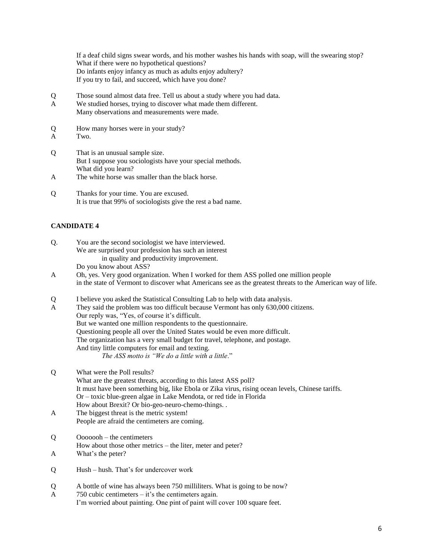If a deaf child signs swear words, and his mother washes his hands with soap, will the swearing stop? What if there were no hypothetical questions? Do infants enjoy infancy as much as adults enjoy adultery? If you try to fail, and succeed, which have you done?

- Q Those sound almost data free. Tell us about a study where you had data.
- A We studied horses, trying to discover what made them different. Many observations and measurements were made.
- Q How many horses were in your study?
- A Two.
- Q That is an unusual sample size. But I suppose you sociologists have your special methods. What did you learn?
- A The white horse was smaller than the black horse.
- Q Thanks for your time. You are excused. It is true that 99% of sociologists give the rest a bad name.

#### **CANDIDATE 4**

| O. | You are the second sociologist we have interviewed.   |  |
|----|-------------------------------------------------------|--|
|    | We are surprised your profession has such an interest |  |
|    | in quality and productivity improvement.              |  |
|    | Do you know about ASS?                                |  |

- A Oh, yes. Very good organization. When I worked for them ASS polled one million people in the state of Vermont to discover what Americans see as the greatest threats to the American way of life.
- Q I believe you asked the Statistical Consulting Lab to help with data analysis.
- A They said the problem was too difficult because Vermont has only 630,000 citizens. Our reply was, "Yes, of course it's difficult. But we wanted one million respondents to the questionnaire. Questioning people all over the United States would be even more difficult. The organization has a very small budget for travel, telephone, and postage. And tiny little computers for email and texting. *The ASS motto is "We do a little with a little*."
- Q What were the Poll results? What are the greatest threats, according to this latest ASS poll? It must have been something big, like Ebola or Zika virus, rising ocean levels, Chinese tariffs. Or – toxic blue-green algae in Lake Mendota, or red tide in Florida How about Brexit? Or bio-geo-neuro-chemo-things. .
- A The biggest threat is the metric system! People are afraid the centimeters are coming.
- Q Ooooooh the centimeters How about those other metrics – the liter, meter and peter?
- A What's the peter?
- Q Hush hush. That's for undercover work
- Q A bottle of wine has always been 750 milliliters. What is going to be now?
- A 750 cubic centimeters it's the centimeters again. I'm worried about painting. One pint of paint will cover 100 square feet.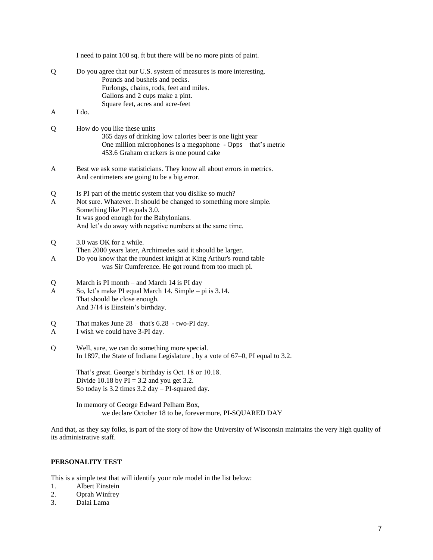|        | I need to paint 100 sq. ft but there will be no more pints of paint.                                                                                                                                                                                                     |
|--------|--------------------------------------------------------------------------------------------------------------------------------------------------------------------------------------------------------------------------------------------------------------------------|
| Q      | Do you agree that our U.S. system of measures is more interesting.<br>Pounds and bushels and pecks.<br>Furlongs, chains, rods, feet and miles.<br>Gallons and 2 cups make a pint.<br>Square feet, acres and acre-feet                                                    |
| A      | I do.                                                                                                                                                                                                                                                                    |
| Q      | How do you like these units<br>365 days of drinking low calories beer is one light year<br>One million microphones is a megaphone - Opps – that's metric<br>453.6 Graham crackers is one pound cake                                                                      |
| A      | Best we ask some statisticians. They know all about errors in metrics.<br>And centimeters are going to be a big error.                                                                                                                                                   |
| Q<br>A | Is PI part of the metric system that you dislike so much?<br>Not sure. Whatever. It should be changed to something more simple.<br>Something like PI equals 3.0.<br>It was good enough for the Babylonians.<br>And let's do away with negative numbers at the same time. |
| Q      | 3.0 was OK for a while.<br>Then 2000 years later, Archimedes said it should be larger.                                                                                                                                                                                   |
| A      | Do you know that the roundest knight at King Arthur's round table<br>was Sir Cumference. He got round from too much pi.                                                                                                                                                  |
| Q<br>A | March is PI month – and March 14 is PI day<br>So, let's make PI equal March 14. Simple – pi is 3.14.<br>That should be close enough.<br>And 3/14 is Einstein's birthday.                                                                                                 |
| Q<br>A | That makes June $28 - \text{that's } 6.28 - \text{two-PI day.}$<br>I wish we could have 3-PI day.                                                                                                                                                                        |
| Q      | Well, sure, we can do something more special.<br>In 1897, the State of Indiana Legislature, by a vote of 67-0, PI equal to 3.2.                                                                                                                                          |
|        | That's great. George's birthday is Oct. 18 or 10.18.<br>Divide 10.18 by $PI = 3.2$ and you get 3.2.<br>So today is $3.2$ times $3.2$ day $-$ PI-squared day.                                                                                                             |
|        | In memory of George Edward Pelham Box,<br>we declare October 18 to be, forevermore, PI-SQUARED DAY                                                                                                                                                                       |

And that, as they say folks, is part of the story of how the University of Wisconsin maintains the very high quality of its administrative staff.

#### **PERSONALITY TEST**

This is a simple test that will identify your role model in the list below:<br>1. Albert Einstein

- 1. Albert Einstein<br>2. Oprah Winfrey
- 2. Oprah Winfrey<br>3. Dalai Lama
- Dalai Lama